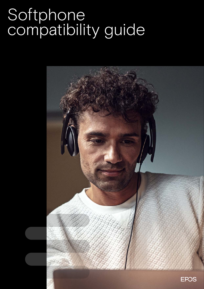# Softphone compatibility guide

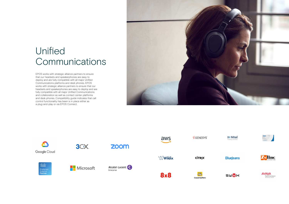## Unified Communications

EPOS works with strategic alliance partners to ensure that our headsets and speakerphones are easy to deploy and are fully compatible with all major Unified Communications platforms and desk phones. EPOS works with strategic alliance partners to ensure that our headsets and speakerphones are easy to deploy and are fully compatible with all major Unified Communications and collaboration as well as contact center platforms and desk phones. Compatibility guide indicates that call control functionality has been is in place either as a plug-and-play or via EPOS Connect.









**BlueJeans** 





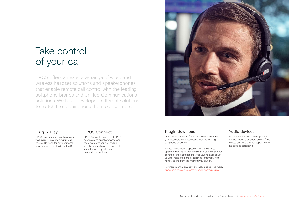## Take control of your call

EPOS offers an extensive range of wired and wireless headset solutions and speakerphones that enable remote call control with the leading softphone brands and Unified Communications solutions. We have developed different solutions to match the requirements from our partners.



#### Audio devices

EPOS headsets and speakerphones can also work as an audio device if the remote call control is not supported for the specific softphone.

#### Plugin download

Our headset software for PC and Mac ensure that your headsets work seamlessly with the leading softphone platforms.

So your headset and speakerphone are always updated with the latest software and you can take full control of the call functions (receive/end calls, adjust volume, mute, etc.) and experience remarkably rich natural sound from the moment you plug in.

For more information about available plugins read more: eposaudio.com/en/us/enterprise/software/plugins

#### Plug-n-Play

EPOS headsets and speakerphones work plug-n-play enabling full call control. No need for any additional installations – just plug in and talk!

#### EPOS Connect

EPOS Connect ensures that EPOS headsets and speakerphones work seamlessly with various leading softphones and give you access to latest firmware updates and personalized settings.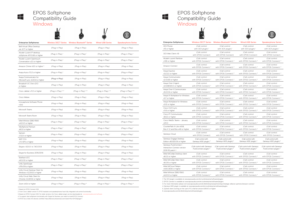EPOS Softphone Compatibility Guide Windows

뜪

### EPOS Softphone Compatibility Guide Windows

Æ



1. Based on EPOS Connect SDK

2. From Cisco Jabber version 11, EPOS headsets and speakerphones have fully integrated call control functionality

3. Based on EPOS Connect SDK. For older versions, the Cisco Jabber plugin can be downloaded at: www.eposaudio.com/software

4. To support dual softphone functionality with Skype for Business, you need to install EPOS Connect

5. EPOS has a total of 6 devices certified: https://devices.amazonaws.com/search?kw=EPOS&page=1

1. The 3CX plugin is available at: www.eposaudio.com/en/us/enterprise/software/plugins 2. EPOS Connect is available at: www.eposaudio.com/en/us/enterprise/software/plugins 3. For more information please visit www.eposaudio.com/en/dk/enterprise/partnerships/strategic-alliance-partners/amazon-connect 4. Genesys WDE plugin is available at: www.eposaudio.com/en/us/enterprise/software/plugins 5. ZyDesk client (running on the user's PC) shall be version 6.9.54.0 or higher 6. www.eposaudio.com/en/dk/enterprise/software/plugins









| <b>Enterprise Softphones</b>                                    | <b>Wireless DECT Series</b>  | Wireless Bluetooth <sup>®</sup> Series | <b>Wired USB Series</b>      | <b>Speakerphone Series</b>   |
|-----------------------------------------------------------------|------------------------------|----------------------------------------|------------------------------|------------------------------|
| 8x8 Virtual Office Desktop<br>ver. 6.7.7 or higher              | (Plug-n-Play)                | (Plug-n-Play)                          | (Plug-n-Play)                | (Plug-n-Play)                |
| Alcatel-Lucent IP desktop<br>softphone vR11.0.66 or higher      | $(Plug-n-Play)^1$            | $(Plug-n-Play)^1$                      | (Plug-n-Play) <sup>1</sup>   | (Plug-n-Play) <sup>1</sup>   |
| Alcatel-Lucent Opentouch<br>Conversation v2.3 or higher         | (Plug-n-Play) <sup>1</sup>   | (Plug-n-Play) <sup>1</sup>             | (Plug-n-Play) <sup>1</sup>   | (Plug-n-Play) <sup>1</sup>   |
| Amazon Chime 4.30 or higher <sup>5</sup>                        | (Plug-n-Play)                | (Plug-n-Play)                          | (Plug-n-Play)                | (Plug-n-Play)                |
| Avaya Aura v7.0.2 or higher                                     | (Plug-n-Play) <sup>1</sup>   | (Plug-n-Play) <sup>1</sup>             | $(Plug-n-Play)^1$            | (Plug-n-Play) <sup>1</sup>   |
| Avaya Communicator for<br>Microsoft Lync v6.4.0.6 or higher     | (Plug-n-Play)                | (Plug-n-Play)                          | (Plug-n-Play)                | (Plug-n-Play)                |
| Broadsoft UC One v21.0<br>or higher                             | (Plug-n-Play)                | (Plug-n-Play)                          | (Plug-n-Play)                | (Plug-n-Play)                |
| Cisco Jabber v11.0 or higher                                    | (Plug-n-Play) <sup>2+3</sup> | (Plug-n-Play) 2+3                      | (Plug-n-Play) <sup>2+3</sup> | (Plug-n-Play) <sup>2+3</sup> |
| Cisco Webex                                                     | (Plug-n-Play)                | (Plug-n-Play)                          | (Plug-n-Play)                | (Plug-n-Play)                |
| innovaphone Software Phone<br>v12r2                             | (Plug-n-Play)                | (Plug-n-Play)                          | (Plug-n-Play)                | (Plug-n-Play)                |
| Microsoft Teams                                                 | (Plug-n-Play)                | (Plug-n-Play)                          | (Plug-n-Play)                | (Plug-n-Play)                |
| Microsoft Teams Room                                            | (Plug-n-Play)                | (Plug-n-Play)                          | (Plug-n-Play)                | (Plug-n-Play)                |
| Mitel MiVoice 2380/1560<br>v4.2.0.0 or higher                   | (Plug-n-Play) <sup>1</sup>   | (Plug-n-Play) <sup>1</sup>             | (Plug-n-Play) <sup>1</sup>   | (Plug-n-Play) <sup>1</sup>   |
| NSoftphone Premium<br>v8.0.0 or higher                          | (Plug-n-Play) <sup>1</sup>   | (Plug-n-Play) <sup>1</sup>             | (Plug-n-Play) <sup>1</sup>   | (Plug-n-Play) <sup>1</sup>   |
| Samwin<br>v7.2.0.1 or higher                                    | (Plug-n-Play) <sup>1</sup>   | (Plug-n-Play) <sup>1</sup>             | (Plug-n-Play) <sup>1</sup>   | (Plug-n-Play) <sup>1</sup>   |
| <b>SAP CCtr</b><br>v7.0 SP3 or higher                           | (Plug-n-Play)                | (Plug-n-Play)                          | (Plug-n-Play)                | (Plug-n-Play)                |
| Skype v 6.3.X.X. to 7.40.0.104                                  | (Plug-n-Play)                | (Plug-n-Play)                          | (Plug-n-Play)                | (Plug-n-Play)                |
| Skype for Business 2015/2016                                    | (Plug-n-Play)                | (Plug-n-Play)                          | (Plug-n-Play)                | (Plug-n-Play)                |
| Starface UCC<br>v6.0.2.12 or higher                             | (Plug-n-Play) <sup>1</sup>   | (Plug-n-Play) <sup>1</sup>             | (Plug-n-Play) <sup>1</sup>   | (Plug-n-Play) <sup>1</sup>   |
| Unify OpenScape<br>v7R1.47.14 or higher                         | (Plug-n-Play) <sup>1</sup>   | (Plug-n-Play) <sup>1</sup>             | (Plug-n-Play) <sup>1</sup>   | (Plug-n-Play) <sup>1</sup>   |
| Unify Circuit Desktop Client for<br>Windows v1.2.2002 or higher | (Plug-n-Play)                | (Plug-n-Play)                          | (Plug-n-Play)                | (Plug-n-Play)                |
| Unify Circuit Web Client for<br>Chrome v1.2.2002 or higher      | (Plug-n-Play)                | (Plug-n-Play)                          | (Plug-n-Play)                | (Plug-n-Play)                |
| Zoom v4.5.4 or higher                                           | (Plug-n-Play) 4              | (Plug-n-Play) 4                        | (Plug-n-Play) 4              | (Plug-n-Play) 4              |

| <b>Enterprise Softphones</b>                                            | <b>Wireless DECT Series</b>                                    | Wireless Bluetooth <sup>®</sup> Series                         | <b>Wired USB Series</b>                                        | <b>Speakerphone Series</b>                                     |
|-------------------------------------------------------------------------|----------------------------------------------------------------|----------------------------------------------------------------|----------------------------------------------------------------|----------------------------------------------------------------|
| <b>3CX Phone</b>                                                        | (Call control                                                  | (Call control                                                  | (Call control                                                  | (Call control                                                  |
| v15 or higher                                                           | with 3CX plugin) <sup>1</sup>                                  | with 3CX plugin) <sup>1</sup>                                  | with 3CX plugin) <sup>1</sup>                                  | with 3CX plugin) <sup>1</sup>                                  |
| 3CX Web Client v16                                                      | (Call control                                                  | (Call control                                                  | (Call control                                                  | (Call control                                                  |
|                                                                         | with EPOS Connect)                                             | with EPOS Connect)                                             | with EPOS Connect)                                             | with EPOS Connect)                                             |
| Alcatel-Lucent Rainbow                                                  | (Call control                                                  | (Call control                                                  | (Call control                                                  | (Call control                                                  |
| v1.55 or higher                                                         | with EPOS Connect) <sup>3</sup>                                | with EPOS Connect) <sup>3</sup>                                | with EPOS Connect) <sup>3</sup>                                | with EPOS Connect) <sup>3</sup>                                |
| Amazon Connect                                                          | (Call control                                                  | (Call control                                                  | (Call control                                                  | (Call control                                                  |
|                                                                         | with EPOS Connect) <sup>3</sup>                                | with EPOS Connect) <sup>3</sup>                                | with EPOS Connect) <sup>3</sup>                                | with EPOS Connect) <sup>3</sup>                                |
| Avaya Equinox                                                           | (Call control                                                  | (Call control                                                  | (Call control                                                  | (Call control                                                  |
| v3.2.2.2 or higher                                                      | with EPOS Connect) <sup>2</sup>                                | with EPOS Connect) <sup>2</sup>                                | with EPOS Connect) <sup>2</sup>                                | with EPOS Connect) <sup>2</sup>                                |
| Avaya Communicator                                                      | (Call control                                                  | (Call control                                                  | (Call control                                                  | (Call control                                                  |
| v2.1.0.69 or higher                                                     | with EPOS Connect) <sup>2</sup>                                | with EPOS Connect) <sup>2</sup>                                | with EPOS Connect) <sup>2</sup>                                | with EPOS Connect) <sup>2</sup>                                |
| Avaya One-X Agent                                                       | (Call control                                                  | (Call control                                                  | (Call control                                                  | (Call control                                                  |
| v2.5.58020.0 or higher                                                  | with EPOS Connect) <sup>2</sup>                                | with EPOS Connect) <sup>2</sup>                                | with EPOS Connect) <sup>2</sup>                                | with EPOS Connect) <sup>2</sup>                                |
| Avaya One-X Communicator                                                | (Call control                                                  | (Call control                                                  | (Call control                                                  | (Call control                                                  |
| v5.2.0.14 or higher                                                     | with EPOS Connect) <sup>2</sup>                                | with EPOS Connect) <sup>2</sup>                                | with EPOS Connect) <sup>2</sup>                                | with EPOS Connect) <sup>2</sup>                                |
| Avaya IX Workplace for Windows                                          | (Call control                                                  | (Call control                                                  | (Call control                                                  | (Call control                                                  |
| v3.7 or higher                                                          | with EPOS Connect) <sup>2</sup>                                | with EPOS Connect) <sup>2</sup>                                | with EPOS Connect) <sup>2</sup>                                | with EPOS Connect) <sup>2</sup>                                |
| Avaya Workplace for Windows                                             | (Call control                                                  | (Call control                                                  | (Call control                                                  | (Call control                                                  |
| v3.12 or higher                                                         | with EPOS Connect) <sup>2</sup>                                | with EPOS Connect) <sup>2</sup>                                | with EPOS Connect) <sup>2</sup>                                | with EPOS Connect) <sup>2</sup>                                |
| Cisco CUCI Lync                                                         | (Call control                                                  | (Call control                                                  | (Call control                                                  | (Call control                                                  |
| v11.6 or higher                                                         | with EPOS Connect) <sup>2</sup>                                | with EPOS Connect) <sup>2</sup>                                | with EPOS Connect) <sup>2</sup>                                | with EPOS Connect) <sup>2</sup>                                |
| Cisco IP Communicator                                                   | (Call control                                                  | (Call control                                                  | (Call control                                                  | (Call control                                                  |
| v8.6.2 or higher                                                        | with EPOS Connect) <sup>2</sup>                                | with EPOS Connect) <sup>2</sup>                                | with EPOS Connect) <sup>2</sup>                                | with EPOS Connect) <sup>2</sup>                                |
| Cisco WebEx Teams - January                                             | (Call control                                                  | (Call control                                                  | (Call control                                                  | (Call control                                                  |
| v41.1.0                                                                 | with EPOS Connect) <sup>2</sup>                                | with EPOS Connect) <sup>2</sup>                                | with EPOS Connect) <sup>2</sup>                                | with EPOS Connect) <sup>2</sup>                                |
| CounterPath X-Lite v4.9.8,                                              | (Call control                                                  | (Call control                                                  | (Call control                                                  | (Call control                                                  |
| Bria X 1.2 and Bria v4.8 or higher                                      | with EPOS Connect) <sup>2</sup>                                | with EPOS Connect) <sup>2</sup>                                | with EPOS Connect) <sup>2</sup>                                | with EPOS Connect) <sup>2</sup>                                |
| Genesys Cloud                                                           | (Call control                                                  | (Call control                                                  | (Call control                                                  | (Call control                                                  |
|                                                                         | with EPOS Connect)                                             | with EPOS Connect)                                             | with EPOS Connect)                                             | with EPOS Connect)                                             |
| Genesys Engage Desktop                                                  | (Call control with                                             | (Call control with                                             | (Call control with                                             | (Call control with                                             |
| Edition v8.5.120.06 or higher                                           | Genesys WDE plugin) <sup>4</sup>                               | Genesys WDE plugin) <sup>4</sup>                               | Genesys WDE plugin) <sup>4</sup>                               | Genesys WDE plugin) <sup>4</sup>                               |
| Genesys PureConnect -<br>Interaction Connect version<br>2019 R3 patch 1 | (Call control with Genesys<br>PureConnect plugin) <sup>6</sup> | (Call control with Genesys<br>PureConnect plugin) <sup>6</sup> | (Call control with Genesys<br>PureConnect plugin) <sup>6</sup> | (Call control with Genesys<br>PureConnect plugin) <sup>6</sup> |
| Mitel MiCollab Desktop client                                           | (Call control                                                  | (Call control                                                  | (Call control                                                  | (Call control                                                  |
| v8.0.3 or higher                                                        | with EPOS Connect) <sup>2</sup>                                | with EPOS Connect) <sup>2</sup>                                | with EPOS Connect) <sup>2</sup>                                | with EPOS Connect) <sup>2</sup>                                |
| Mitel MiCollab Web Client                                               | (Call control                                                  | (Call control                                                  | (Call control                                                  | (Call control                                                  |
| v8.0.15 or higher                                                       | with EPOS Connect) <sup>2</sup>                                | with EPOS Connect) <sup>2</sup>                                | with EPOS Connect) <sup>2</sup>                                | with EPOS Connect) <sup>2</sup>                                |
| Mitel MiCloud Telepo                                                    | (Call control                                                  | (Call control                                                  | (Call control                                                  | (Call control                                                  |
| v4.8.0.3636 or higher                                                   | with EPOS Connect) <sup>2</sup>                                | with EPOS Connect) <sup>2</sup>                                | with EPOS Connect) <sup>2</sup>                                | with EPOS Connect) <sup>2</sup>                                |
| Mitel MiVoice 2380/1560                                                 | (Call control                                                  | (Call control                                                  | (Call control                                                  | (Call control                                                  |
| v4.2.0.0 or higher                                                      | with EPOS Connect) <sup>2</sup>                                | with EPOS Connect) <sup>2</sup>                                | with EPOS Connect) <sup>2</sup>                                | with EPOS Connect) <sup>2</sup>                                |
|                                                                         |                                                                |                                                                |                                                                |                                                                |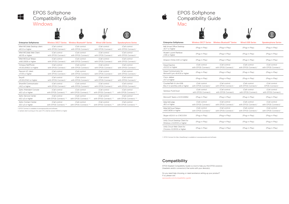| <b>Enterprise Softphones</b>                                    | <b>Wireless DECT Series</b>                      | <b>Wireless Bluetooth<sup>®</sup> Series</b>     | <b>Wired USB Series</b>                          | <b>Speakerphone Series</b>                       |
|-----------------------------------------------------------------|--------------------------------------------------|--------------------------------------------------|--------------------------------------------------|--------------------------------------------------|
| 8x8 Virtual Office Desktop<br>v6.7.7 or higher                  | (Plug-n-Play)                                    | (Plug-n-Play)                                    | (Plug-n-Play)                                    | (Plug-n-Play)                                    |
| Alcatel-Lucent Rainbow<br>v1.55 or higher                       | (Plug-n-Play)                                    | (Plug-n-Play)                                    | (Plug-n-Play)                                    | (Plug-n-Play)                                    |
| Amazon Chime 4.30 or higher                                     | (Plug-n-Play)                                    | (Plug-n-Play)                                    | (Plug-n-Play)                                    | (Plug-n-Play)                                    |
| Avaya Equinox<br>v3.2.2.2 or higher                             | (Call control<br>with EPOS Connect) <sup>1</sup> | (Call control<br>with EPOS Connect) <sup>1</sup> | (Call control<br>with EPOS Connect) <sup>1</sup> | (Call control<br>with EPOS Connect) <sup>1</sup> |
| Avaya Communicator for<br>Microsoft Lync v6.4.0.6 or higher     | (Plug-n-Play)                                    | (Plug-n-Play)                                    | (Plug-n-Play)                                    | (Plug-n-Play)                                    |
| Cisco Jabber<br>v11.7 or higher                                 | (Plug-n-Play)                                    | (Plug-n-Play)                                    | (Plug-n-Play)                                    | (Plug-n-Play)                                    |
| CounterPath X-Lite 4.9.8.<br>Bria X 1.2 and Bria v4.8 or higher | (Call control<br>with EPOS Connect) <sup>1</sup> | (Call control<br>with EPOS Connect) <sup>1</sup> | (Call control<br>with EPOS Connect) <sup>1</sup> | (Call control<br>EPOS Connect) <sup>1</sup>      |
| Genesys PureCloud                                               | (Call control<br>with EPOS Connect)              | (Call control<br>with EPOS Connect)              | (Call control<br>with EPOS Connect)              | (Call control<br>with EPOS Connect)              |
| Microsoft Teams v.1.2.00.22654                                  | (Plug-n-Play)                                    | (Plug-n-Play)                                    | (Plug-n-Play)                                    | (Plug-n-Play)                                    |
| Mitel MiCollab<br>v8.0 or higher                                | (Call control<br>with EPOS Connect) <sup>1</sup> | (Call control<br>with EPOS Connect) <sup>1</sup> | (Call control<br>with EPOS Connect) <sup>1</sup> | (Call control<br>with EPOS Connect) <sup>1</sup> |
| Mitel MiCloud Telepo<br>v4.8.0.3636 or higher                   | (Call control<br>with EPOS Connect) <sup>1</sup> | (Call control<br>with EPOS Connect) <sup>1</sup> | (Call control<br>with EPOS Connect) <sup>1</sup> | (Call control<br>with EPOS Connect) <sup>1</sup> |
| Skype v6.3.X.X. to v7.40.0.104                                  | (Plug-n-Play)                                    | (Plug-n-Play)                                    | (Plug-n-Play)                                    | (Plug-n-Play)                                    |
| Unify Circuit Desktop Client for<br>Windows v1.2.2002 or higher | (Plug-n-Play)                                    | (Plug-n-Play)                                    | (Plug-n-Play)                                    | (Plug-n-Play)                                    |
| Unify Circuit Web Client for<br>Chrome v1.2.2002 or higher      | (Plug-n-Play)                                    | (Plug-n-Play)                                    | (Plug-n-Play)                                    | (Plug-n-Play)                                    |

EPOS Headset Compatibility Guide is a tool to help you find EPOS solutions (headsets and/or connectors) that works with your device(s).

Do you need help choosing, or need assistance setting up your product? If so, please visit:

eposaudio.com/compatibility-guide









1. EPOS Connect for Mac (HeadSetup) is available at: www.eposaudio.com/software

#### **Compatibility**

| <b>Enterprise Softphones</b>  | <b>Wireless DECT Series</b>       | Wireless Bluetooth <sup>®</sup> Series | <b>Wired USB Series</b>           | <b>Speakerphone Series</b>        |
|-------------------------------|-----------------------------------|----------------------------------------|-----------------------------------|-----------------------------------|
| Mitel MiCollab Desktop client | (Call control                     | (Call control                          | (Call control                     | (Call control                     |
| v8.0.3 or higher              | with EPOS Connect) <sup>1</sup>   | with EPOS Connect) <sup>1</sup>        | with EPOS Connect) <sup>1</sup>   | with EPOS Connect)                |
| Mitel MiCollab Web Client     | (Call control                     | (Call control                          | (Call control                     | (Call control                     |
| v8.0.15 or higher             | with EPOS Connect) <sup>1</sup>   | with EPOS Connect) <sup>1</sup>        | with EPOS Connect) <sup>1</sup>   | with EPOS Connect)                |
| Mitel MiCloud Telepo          | (Call control                     | (Call control                          | (Call control                     | (Call control                     |
| v4.8.0.3636 or higher         | with EPOS Connect) <sup>1</sup>   | with EPOS Connect) <sup>1</sup>        | with EPOS Connect) <sup>1</sup>   | with EPOS Connect)                |
| Octopus NetPhone              | (Call control                     | (Call control                          | (Call control                     | (Call control                     |
| v10.30.2092.0 or higher       | with EPOS Connect) <sup>1</sup>   | with EPOS Connect) <sup>1</sup>        | with EPOS Connect) <sup>1</sup>   | with EPOS Connect)                |
| Pascom UC client              | (Call control                     | (Call control                          | (Call control                     | (Call control                     |
| v17.09 or higher              | with EPOS Connect) <sup>1</sup>   | with EPOS Connect) <sup>1</sup>        | with EPOS Connect) <sup>1</sup>   | with EPOS Connect)                |
| Swyxlt!                       | (Call control                     | (Call control                          | (Call control                     | (Call control                     |
| v10.30.2114.0 or higher       | with EPOS Connect) <sup>1</sup>   | with EPOS Connect) <sup>1</sup>        | with EPOS Connect) <sup>1</sup>   | with EPOS Connect)                |
| ShoreTel Communicator         | (Call control                     | (Call control                          | (Call control                     | (Call control                     |
| v14.2 or higher               | with EPOS Connect) <sup>1</sup>   | with EPOS Connect) <sup>1</sup>        | with EPOS Connect) <sup>1</sup>   | with EPOS Connect)                |
| Zylinc Attendant Console      | (Call control                     | (Call control                          | (Call control                     | (Call control                     |
| v6.0 u3 or higher             | with EPOS Connect) <sup>1+2</sup> | with EPOS Connect) <sup>1+2</sup>      | with EPOS Connect) <sup>1+2</sup> | with EPOS Connect) <sup>1+2</sup> |
| Zylinc Service Center         | (Call control                     | (Call control                          | (Call control                     | (Call control                     |
| v6.0 u3 or higher             | with EPOS Connect) <sup>1+2</sup> | with EPOS Connect) <sup>1+2</sup>      | with EPOS Connect) <sup>1+2</sup> | with EPOS Connect) <sup>1+2</sup> |
| <b>Zylinc Contact Center</b>  | (Call control                     | (Call control                          | (Call control                     | (Call control                     |
| v6.0 u3 or higher             | with EPOS Connect) <sup>1+2</sup> | with EPOS Connect) <sup>1+2</sup>      | with EPOS Connect) <sup>1+2</sup> | with EPOS Connect) <sup>1+2</sup> |

### EPOS Softphone Compatibility Guide Windows

### EPOS Softphone Compatibility Guide Mac

 $\frac{1}{2}$ 



1. EPOS Connect is available at www.eposaudio.com/software

2. ZyDesk client (running on the user's PC) shall be version 6.9.54.0 or higher